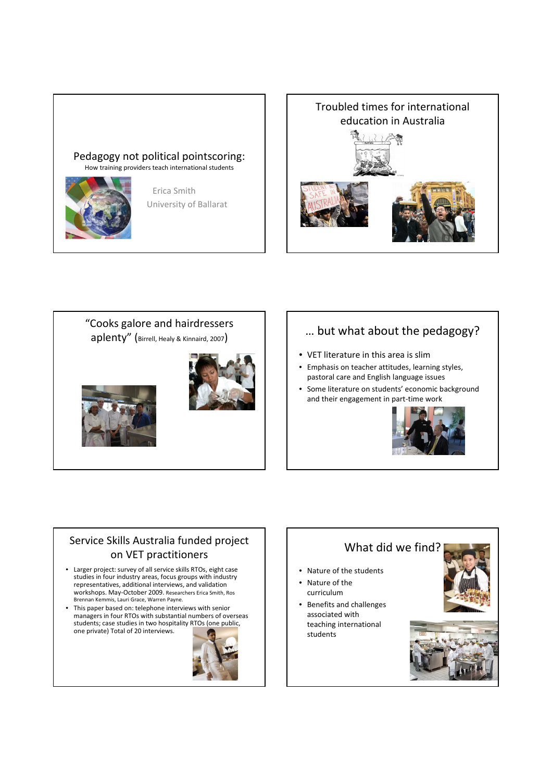#### Pedagogy not political pointscoring: How training providers teach international students

Erica Smith

University of Ballarat



Troubled times for international education in Australia



### … but what about the pedagogy?

- VET literature in this area is slim
- Emphasis on teacher attitudes, learning styles, pastoral care and English language issues
- Some literature on students' economic background and their engagement in part-time work



### Service Skills Australia funded project on VET practitioners

- Larger project: survey of all service skills RTOs, eight case studies in four industry areas, focus groups with industry representatives, additional interviews, and validation workshops. May-October 2009. Researchers Erica Smith, Ros Brennan Kemmis, Lauri Grace, Warren Payne.
- This paper based on: telephone interviews with senior managers in four RTOs with substantial numbers of overseas students; case studies in two hospitality RTOs (one public, one private) Total of 20 interviews.



# What did we find? • Nature of the students • Nature of the curriculum • Benefits and challenges associated with teaching international students